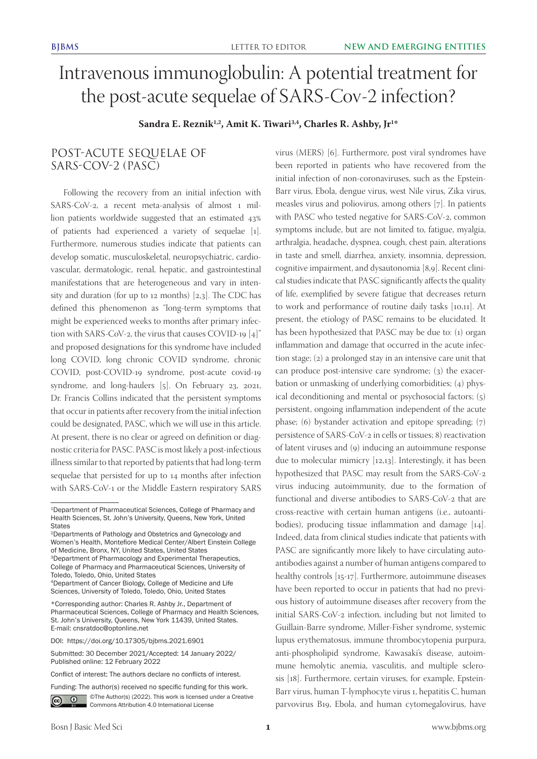# Intravenous immunoglobulin: A potential treatment for the post-acute sequelae of SARS-Cov-2 infection?

**Sandra E. Reznik1,2, Amit K. Tiwari3,4, Charles R. Ashby, Jr1 \***

## POST-ACUTE SEQUELAE OF SARS-COV-2 (PASC)

Following the recovery from an initial infection with SARS-CoV-2, a recent meta-analysis of almost 1 million patients worldwide suggested that an estimated 43% of patients had experienced a variety of sequelae [1]. Furthermore, numerous studies indicate that patients can develop somatic, musculoskeletal, neuropsychiatric, cardiovascular, dermatologic, renal, hepatic, and gastrointestinal manifestations that are heterogeneous and vary in intensity and duration (for up to 12 months) [2,3]. The CDC has defined this phenomenon as "long-term symptoms that might be experienced weeks to months after primary infection with SARS-CoV-2, the virus that causes COVID-19 [4]" and proposed designations for this syndrome have included long COVID, long chronic COVID syndrome, chronic COVID, post-COVID-19 syndrome, post-acute covid-19 syndrome, and long-haulers [5]. On February 23, 2021, Dr. Francis Collins indicated that the persistent symptoms that occur in patients after recovery from the initial infection could be designated, PASC, which we will use in this article. At present, there is no clear or agreed on definition or diagnostic criteria for PASC. PASC is most likely a post-infectious illness similar to that reported by patients that had long-term sequelae that persisted for up to 14 months after infection with SARS-CoV-1 or the Middle Eastern respiratory SARS

Funding: The author(s) received no specific funding for this work.



Co C Che Author(s) (2022). This work is licensed under a Creative Commons Attribution 4.0 International License

virus (MERS) [6]. Furthermore, post viral syndromes have been reported in patients who have recovered from the initial infection of non-coronaviruses, such as the Epstein-Barr virus, Ebola, dengue virus, west Nile virus, Zika virus, measles virus and poliovirus, among others [7]. In patients with PASC who tested negative for SARS-CoV-2, common symptoms include, but are not limited to, fatigue, myalgia, arthralgia, headache, dyspnea, cough, chest pain, alterations in taste and smell, diarrhea, anxiety, insomnia, depression, cognitive impairment, and dysautonomia [8,9]. Recent clinical studies indicate that PASC significantly affects the quality of life, exemplified by severe fatigue that decreases return to work and performance of routine daily tasks [10,11]. At present, the etiology of PASC remains to be elucidated. It has been hypothesized that PASC may be due to: (1) organ inflammation and damage that occurred in the acute infection stage; (2) a prolonged stay in an intensive care unit that can produce post-intensive care syndrome; (3) the exacerbation or unmasking of underlying comorbidities; (4) physical deconditioning and mental or psychosocial factors; (5) persistent, ongoing inflammation independent of the acute phase; (6) bystander activation and epitope spreading; (7) persistence of SARS-CoV-2 in cells or tissues; 8) reactivation of latent viruses and (9) inducing an autoimmune response due to molecular mimicry [12,13]. Interestingly, it has been hypothesized that PASC may result from the SARS-CoV-2 virus inducing autoimmunity, due to the formation of functional and diverse antibodies to SARS-CoV-2 that are cross-reactive with certain human antigens (i.e., autoantibodies), producing tissue inflammation and damage [14]. Indeed, data from clinical studies indicate that patients with PASC are significantly more likely to have circulating autoantibodies against a number of human antigens compared to healthy controls [15-17]. Furthermore, autoimmune diseases have been reported to occur in patients that had no previous history of autoimmune diseases after recovery from the initial SARS-CoV-2 infection, including but not limited to Guillain-Barre syndrome, Miller-Fisher syndrome, systemic lupus erythematosus, immune thrombocytopenia purpura, anti-phospholipid syndrome, Kawasaki's disease, autoimmune hemolytic anemia, vasculitis, and multiple sclerosis [18]. Furthermore, certain viruses, for example, Epstein-Barr virus, human T-lymphocyte virus 1, hepatitis C, human parvovirus B19, Ebola, and human cytomegalovirus, have

<sup>1</sup>Department of Pharmaceutical Sciences, College of Pharmacy and Health Sciences, St. John's University, Queens, New York, United **States** 

<sup>2</sup>Departments of Pathology and Obstetrics and Gynecology and Women's Health, Montefiore Medical Center/Albert Einstein College of Medicine, Bronx, NY, United States, United States

<sup>3</sup>Department of Pharmacology and Experimental Therapeutics, College of Pharmacy and Pharmaceutical Sciences, University of Toledo, Toledo, Ohio, United States

<sup>4</sup>Department of Cancer Biology, College of Medicine and Life Sciences, University of Toledo, Toledo, Ohio, United States

<sup>\*</sup>Corresponding author: Charles R. Ashby Jr., Department of Pharmaceutical Sciences, College of Pharmacy and Health Sciences, St. John's University, Queens, New York 11439, United States. E-mail: cnsratdoc@optonline.net

DOI: https://doi.org/10.17305/bjbms.2021.6901

Submitted: 30 December 2021/Accepted: 14 January 2022/ Published online: 12 February 2022

Conflict of interest: The authors declare no conflicts of interest.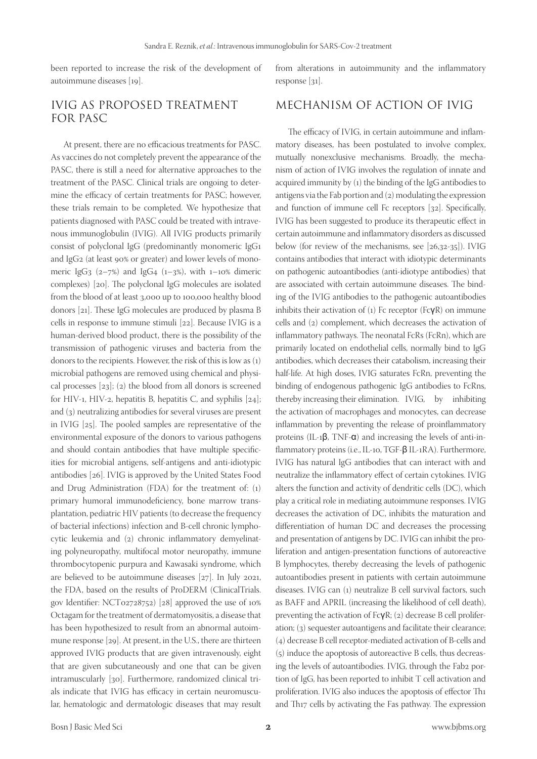been reported to increase the risk of the development of autoimmune diseases [19].

## IVIG AS PROPOSED TREATMENT FOR PASC

At present, there are no efficacious treatments for PASC. As vaccines do not completely prevent the appearance of the PASC, there is still a need for alternative approaches to the treatment of the PASC. Clinical trials are ongoing to determine the efficacy of certain treatments for PASC; however, these trials remain to be completed. We hypothesize that patients diagnosed with PASC could be treated with intravenous immunoglobulin (IVIG). All IVIG products primarily consist of polyclonal IgG (predominantly monomeric IgG1 and IgG2 (at least 90% or greater) and lower levels of monomeric IgG<sub>3</sub>  $(2-7%)$  and IgG<sub>4</sub>  $(1-3%)$ , with  $1-10%$  dimeric complexes) [20]. The polyclonal IgG molecules are isolated from the blood of at least 3,000 up to 100,000 healthy blood donors [21]. These IgG molecules are produced by plasma B cells in response to immune stimuli [22]. Because IVIG is a human-derived blood product, there is the possibility of the transmission of pathogenic viruses and bacteria from the donors to the recipients. However, the risk of this is low as (1) microbial pathogens are removed using chemical and physical processes [23]; (2) the blood from all donors is screened for HIV-1, HIV-2, hepatitis B, hepatitis C, and syphilis [24]; and (3) neutralizing antibodies for several viruses are present in IVIG [25]. The pooled samples are representative of the environmental exposure of the donors to various pathogens and should contain antibodies that have multiple specificities for microbial antigens, self-antigens and anti-idiotypic antibodies [26]. IVIG is approved by the United States Food and Drug Administration (FDA) for the treatment of: (1) primary humoral immunodeficiency, bone marrow transplantation, pediatric HIV patients (to decrease the frequency of bacterial infections) infection and B-cell chronic lymphocytic leukemia and (2) chronic inflammatory demyelinating polyneuropathy, multifocal motor neuropathy, immune thrombocytopenic purpura and Kawasaki syndrome, which are believed to be autoimmune diseases [27]. In July 2021, the FDA, based on the results of ProDERM (ClinicalTrials. gov Identifier: NCT02728752) [28] approved the use of 10% Octagam for the treatment of dermatomyositis, a disease that has been hypothesized to result from an abnormal autoimmune response [29]. At present, in the U.S., there are thirteen approved IVIG products that are given intravenously, eight that are given subcutaneously and one that can be given intramuscularly [30]. Furthermore, randomized clinical trials indicate that IVIG has efficacy in certain neuromuscular, hematologic and dermatologic diseases that may result

from alterations in autoimmunity and the inflammatory response [31].

## MECHANISM OF ACTION OF IVIG

The efficacy of IVIG, in certain autoimmune and inflammatory diseases, has been postulated to involve complex, mutually nonexclusive mechanisms. Broadly, the mechanism of action of IVIG involves the regulation of innate and acquired immunity by (1) the binding of the IgG antibodies to antigens via the Fab portion and (2) modulating the expression and function of immune cell Fc receptors [32]. Specifically, IVIG has been suggested to produce its therapeutic effect in certain autoimmune and inflammatory disorders as discussed below (for review of the mechanisms, see [26,32-35]). IVIG contains antibodies that interact with idiotypic determinants on pathogenic autoantibodies (anti-idiotype antibodies) that are associated with certain autoimmune diseases. The binding of the IVIG antibodies to the pathogenic autoantibodies inhibits their activation of (1) Fc receptor (FcγR) on immune cells and (2) complement, which decreases the activation of inflammatory pathways. The neonatal FcRs (FcRn), which are primarily located on endothelial cells, normally bind to IgG antibodies, which decreases their catabolism, increasing their half-life. At high doses, IVIG saturates FcRn, preventing the binding of endogenous pathogenic IgG antibodies to FcRns, thereby increasing their elimination. IVIG, by inhibiting the activation of macrophages and monocytes, can decrease inflammation by preventing the release of proinflammatory proteins (IL-1β, TNF-α) and increasing the levels of anti-inflammatory proteins (i.e., IL-10, TGF-β IL-1RA). Furthermore, IVIG has natural IgG antibodies that can interact with and neutralize the inflammatory effect of certain cytokines. IVIG alters the function and activity of dendritic cells (DC), which play a critical role in mediating autoimmune responses. IVIG decreases the activation of DC, inhibits the maturation and differentiation of human DC and decreases the processing and presentation of antigens by DC. IVIG can inhibit the proliferation and antigen-presentation functions of autoreactive B lymphocytes, thereby decreasing the levels of pathogenic autoantibodies present in patients with certain autoimmune diseases. IVIG can (1) neutralize B cell survival factors, such as BAFF and APRIL (increasing the likelihood of cell death), preventing the activation of FcγR; (2) decrease B cell proliferation; (3) sequester autoantigens and facilitate their clearance; (4) decrease B cell receptor-mediated activation of B-cells and (5) induce the apoptosis of autoreactive B cells, thus decreasing the levels of autoantibodies. IVIG, through the Fab2 portion of IgG, has been reported to inhibit T cell activation and proliferation. IVIG also induces the apoptosis of effector Th1 and Th17 cells by activating the Fas pathway. The expression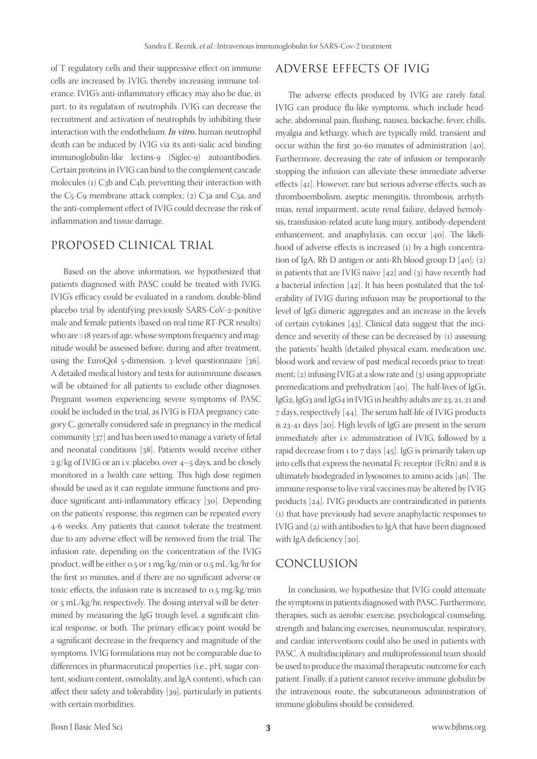of T regulatory cells and their suppressive effect on immune cells are increased by IVIG, thereby increasing immune tolerance. IVIG's anti-inflammatory efficacy may also be due, in part, to its regulation of neutrophils. IVIG can decrease the recruitment and activation of neutrophils by inhibiting their interaction with the endothelium. *In vitro*, human neutrophil death can be induced by IVIG via its anti-sialic acid binding immunoglobulin-like lectins-9 (Siglec-9) autoantibodies. Certain proteins in IVIG can bind to the complement cascade molecules (1) C3b and C4b, preventing their interaction with the C5-C9 membrane attack complex; (2) C3a and C5a, and the anti-complement effect of IVIG could decrease the risk of inflammation and tissue damage.

#### PROPOSED CLINICAL TRIAL

Based on the above information, we hypothesized that patients diagnosed with PASC could be treated with IVIG. IVIG's efficacy could be evaluated in a random, double-blind placebo trial by identifying previously SARS-CoV-2-positive male and female patients (based on real time RT-PCR results) who are >18 years of age, whose symptom frequency and magnitude would be assessed before, during and after treatment, using the EuroQol 5-dimension, 3-level questionnaire [36]. A detailed medical history and tests for autoimmune diseases will be obtained for all patients to exclude other diagnoses. Pregnant women experiencing severe symptoms of PASC could be included in the trial, as IVIG is FDA pregnancy category C, generally considered safe in pregnancy in the medical community [37] and has been used to manage a variety of fetal and neonatal conditions [38]. Patients would receive either  $2 g/kg$  of IVIG or an i.v. placebo, over  $4-5$  days, and be closely monitored in a health care setting. This high dose regimen should be used as it can regulate immune functions and produce significant anti-inflammatory efficacy [30]. Depending on the patients' response, this regimen can be repeated every 4-6 weeks. Any patients that cannot tolerate the treatment due to any adverse effect will be removed from the trial. The infusion rate, depending on the concentration of the IVIG product, will be either 0.5 or 1 mg/kg/min or 0.5 mL/kg/hr for the first 10 minutes, and if there are no significant adverse or toxic effects, the infusion rate is increased to 0.5 mg/kg/min or 5 mL/kg/hr, respectively. The dosing interval will be determined by measuring the IgG trough level, a significant clinical response, or both. The primary efficacy point would be a significant decrease in the frequency and magnitude of the symptoms. IVIG formulations may not be comparable due to differences in pharmaceutical properties (i.e., pH, sugar content, sodium content, osmolality, and IgA content), which can affect their safety and tolerability [39], particularly in patients with certain morbidities.

# ADVERSE EFFECTS OF IVIG

The adverse effects produced by IVIG are rarely fatal. IVIG can produce flu-like symptoms, which include headache, abdominal pain, flushing, nausea, backache, fever, chills, myalgia and lethargy, which are typically mild, transient and occur within the first 30-60 minutes of administration [40]. Furthermore, decreasing the rate of infusion or temporarily stopping the infusion can alleviate these immediate adverse effects [41]. However, rare but serious adverse effects, such as thromboembolism, aseptic meningitis, thrombosis, arrhythmias, renal impairment, acute renal failure, delayed hemolysis, transfusion-related acute lung injury, antibody-dependent enhancement, and anaphylaxis, can occur [40]. The likelihood of adverse effects is increased (1) by a high concentration of IgA, Rh D antigen or anti-Rh blood group D [40]; (2) in patients that are IVIG naïve [42] and (3) have recently had a bacterial infection [42]. It has been postulated that the tolerability of IVIG during infusion may be proportional to the level of IgG dimeric aggregates and an increase in the levels of certain cytokines [43]. Clinical data suggest that the incidence and severity of these can be decreased by (1) assessing the patients' health (detailed physical exam, medication use, blood work and review of past medical records prior to treatment; (2) infusing IVIG at a slow rate and (3) using appropriate premedications and prehydration [40]. The half-lives of IgG1, IgG2, IgG3 and IgG4 in IVIG in healthy adults are 23, 21, 21 and 7 days, respectively [44]. The serum half-life of IVIG products is 23-41 days [20]. High levels of IgG are present in the serum immediately after i.v. administration of IVIG, followed by a rapid decrease from 1 to 7 days [45]. IgG is primarily taken up into cells that express the neonatal Fc receptor (FcRn) and it is ultimately biodegraded in lysosomes to amino acids [46]. The immune response to live viral vaccines may be altered by IVIG products [24]. IVIG products are contraindicated in patients (1) that have previously had severe anaphylactic responses to IVIG and (2) with antibodies to IgA that have been diagnosed with IgA deficiency [20].

#### CONCLUSION

In conclusion, we hypothesize that IVIG could attenuate the symptoms in patients diagnosed with PASC. Furthermore, therapies, such as aerobic exercise, psychological counseling, strength and balancing exercises, neuromuscular, respiratory, and cardiac interventions could also be used in patients with PASC. A multidisciplinary and multiprofessional team should be used to produce the maximal therapeutic outcome for each patient. Finally, if a patient cannot receive immune globulin by the intravenous route, the subcutaneous administration of immune globulins should be considered.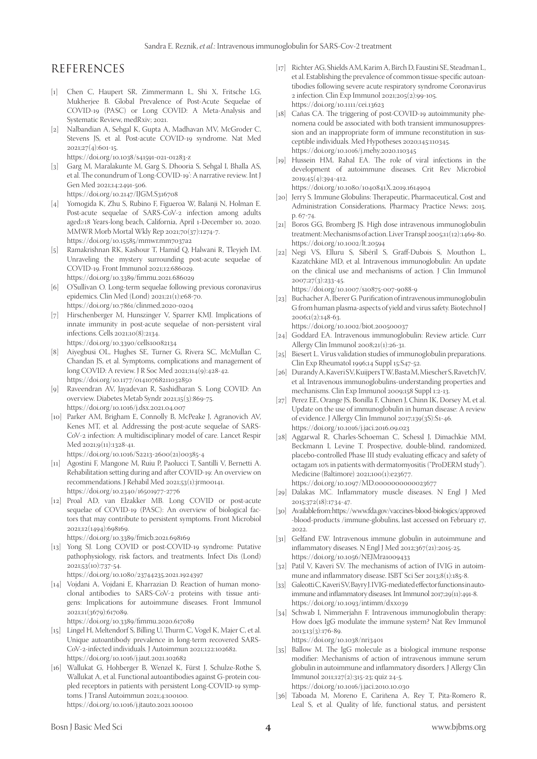## REFERENCES

- [1] Chen C, Haupert SR, Zimmermann L, Shi X, Fritsche LG, Mukherjee B. Global Prevalence of Post-Acute Sequelae of COVID-19 (PASC) or Long COVID: A Meta-Analysis and Systematic Review, medRxiv; 2021.
- [2] Nalbandian A, Sehgal K, Gupta A, Madhavan MV, McGroder C, Stevens JS, et al. Post-acute COVID-19 syndrome. Nat Med 2021;27(4):601-15. https://doi.org/10.1038/s41591-021-01283-z
- [3] Garg M, Maralakunte M, Garg S, Dhooria S, Sehgal I, Bhalla AS, et al. The conundrum of 'Long-COVID-19': A narrative review. Int J Gen Med 2021;14:2491-506. https://doi.org/10.2147/IJGM.S316708
- [4] Yomogida K, Zhu S, Rubino F, Figueroa W, Balanji N, Holman E. Post-acute sequelae of SARS-CoV-2 infection among adults aged≥18 Years-long beach, California, April 1-December 10, 2020. MMWR Morb Mortal Wkly Rep 2021;70(37):1274-7. https://doi.org/10.15585/mmwr.mm7037a2
- [5] Ramakrishnan RK, Kashour T, Hamid Q, Halwani R, Tleyjeh IM. Unraveling the mystery surrounding post-acute sequelae of COVID-19. Front Immunol 2021;12:686029. https://doi.org/10.3389/fimmu.2021.686029
- [6] O'Sullivan O. Long-term sequelae following previous coronavirus epidemics. Clin Med (Lond) 2021;21(1):e68-70. https://doi.org/10.7861/clinmed.2020-0204
- [7] Hirschenberger M, Hunszinger V, Sparrer KMJ. Implications of innate immunity in post-acute sequelae of non-persistent viral infections. Cells 2021;10(8):2134. https://doi.org/10.3390/cells10082134
- [8] Aiyegbusi OL, Hughes SE, Turner G, Rivera SC, McMullan C, Chandan JS, et al. Symptoms, complications and management of long COVID: A review. J R Soc Med 2021;114(9):428-42. https://doi.org/10.1177/01410768211032850
- [9] Raveendran AV, Jayadevan R, Sashidharan S. Long COVID: An overview. Diabetes Metab Syndr 2021;15(3):869-75. https://doi.org/10.1016/j.dsx.2021.04.007
- [10] Parker AM, Brigham E, Connolly B, McPeake J, Agranovich AV, Kenes MT, et al. Addressing the post-acute sequelae of SARS-CoV-2 infection: A multidisciplinary model of care. Lancet Respir Med 2021;9(11):1328-41. [https://doi.org/10.1016/S2213-2600\(21\)00385-4](https://doi.org/10.1016/S2213-2600(21)00385-4)
- [11] Agostini F, Mangone M, Ruiu P, Paolucci T, Santilli V, Bernetti A. Rehabilitation setting during and after COVID-19: An overview on recommendations. J Rehabil Med 2021;53(1):jrm00141. https://doi.org/10.2340/16501977-2776
- [12] Proal AD, van Elzakker MB. Long COVID or post-acute sequelae of COVID-19 (PASC): An overview of biological factors that may contribute to persistent symptoms. Front Microbiol 2021;12(1494):698169.

https://doi.org/10.3389/fmicb.2021.698169

- [13] Yong SJ. Long COVID or post-COVID-19 syndrome: Putative pathophysiology, risk factors, and treatments. Infect Dis (Lond) 2021;53(10):737-54. https://doi.org/10.1080/23744235.2021.1924397
- [14] Vojdani A, Vojdani E, Kharrazian D. Reaction of human monoclonal antibodies to SARS-CoV-2 proteins with tissue antigens: Implications for autoimmune diseases. Front Immunol

2021;11(3679):617089. https://doi.org/10.3389/fimmu.2020.617089

- [15] Lingel H, Meltendorf S, Billing U, Thurm C, Vogel K, Majer C, et al. Unique autoantibody prevalence in long-term recovered SARS-CoV-2-infected individuals. J Autoimmun 2021;122:102682. https://doi.org/10.1016/j.jaut.2021.102682
- [16] Wallukat G, Hohberger B, Wenzel K, Fürst J, Schulze-Rothe S, Wallukat A, et al. Functional autoantibodies against G-protein coupled receptors in patients with persistent Long-COVID-19 symptoms. J Transl Autoimmun 2021;4:100100. https://doi.org/10.1016/j.jtauto.2021.100100
- [17] Richter AG, Shields AM, Karim A, Birch D, Faustini SE, Steadman L, et al. Establishing the prevalence of common tissue-specific autoantibodies following severe acute respiratory syndrome Coronavirus 2 infection. Clin Exp Immunol 2021;205(2):99-105. https://doi.org/10.1111/cei.13623
- [18] Cañas CA. The triggering of post-COVID-19 autoimmunity phenomena could be associated with both transient immunosuppression and an inappropriate form of immune reconstitution in susceptible individuals. Med Hypotheses 2020;145:110345. https://doi.org/10.1016/j.mehy.2020.110345
- [19] Hussein HM, Rahal EA. The role of viral infections in the development of autoimmune diseases. Crit Rev Microbiol 2019;45(4):394-412.

https://doi.org/10.1080/1040841X.2019.1614904

- [20] Jerry S. Immune Globulins: Therapeutic, Pharmaceutical, Cost and Administration Considerations, Pharmacy Practice News; 2015. p. 67-74.
- [21] Boros GG, Bromberg JS. High dose intravenous immunoglobulin treatment: Mechanisms of action. Liver Transpl 2005;11(12):1469-80. https://doi.org/10.1002/lt.20594
- [22] Negi VS, Elluru S, Sibéril S, Graff-Dubois S, Mouthon L, Kazatchkine MD, et al. Intravenous immunoglobulin: An update on the clinical use and mechanisms of action. J Clin Immunol 2007;27(3):233-45.

https://doi.org/10.1007/s10875-007-9088-9

[23] Buchacher A, Iberer G. Purification of intravenous immunoglobulin G from human plasma-aspects of yield and virus safety. Biotechnol J 2006;1(2):148-63.

https://doi.org/10.1002/biot.200500037

- [24] Goddard EA. Intravenous immunoglobulin: Review article. Curr Allergy Clin Immunol 2008;21(1):26-31.
- [25] Biesert L. Virus validation studies of immunoglobulin preparations. Clin Exp Rheumatol 1996;14 Suppl 15:S47-52.
- [26] Durandy A, Kaveri SV, Kuijpers TW, Basta M, Miescher S, Ravetch JV, et al. Intravenous immunoglobulins-understanding properties and mechanisms. Clin Exp Immunol 2009;158 Suppl 1:2-13.
- [27] Perez EE, Orange JS, Bonilla F, Chinen J, Chinn IK, Dorsey M, et al. Update on the use of immunoglobulin in human disease: A review of evidence. J Allergy Clin Immunol 2017;139(3S):S1-46. https://doi.org/10.1016/j.jaci.2016.09.023
- [28] Aggarwal R, Charles-Schoeman C, Schessl J, Dimachkie MM, Beckmann I, Levine T. Prospective, double-blind, randomized, placebo-controlled Phase III study evaluating efficacy and safety of octagam 10% in patients with dermatomyositis ("ProDERM study"). Medicine (Baltimore) 2021;100(1):e23677. https://doi.org/10.1097/MD.0000000000023677
- [29] Dalakas MC. Inflammatory muscle diseases. N Engl J Med 2015;372(18):1734-47.
- [30] Available from: https://www.fda.gov/vaccines-blood-biologics/approved -blood-products /immune-globulins, last accessed on February 17, 2022.
- [31] Gelfand EW. Intravenous immune globulin in autoimmune and inflammatory diseases. N Engl J Med 2012;367(21):2015-25. https://doi.org/10.1056/NEJMra1009433
- [32] Patil V, Kaveri SV. The mechanisms of action of IVIG in autoimmune and inflammatory disease. ISBT Sci Ser 2013;8(1):185-8.
- [33] Galeotti C, Kaveri SV, Bayry J. IVIG-mediated effector functions in autoimmune and inflammatory diseases. Int Immunol 2017;29(11):491-8. https://doi.org/10.1093/intimm/dxx039
- [34] Schwab I, Nimmerjahn F. Intravenous immunoglobulin therapy: How does IgG modulate the immune system? Nat Rev Immunol 2013;13(3):176-89.

https://doi.org/10.1038/nri3401

- [35] Ballow M. The IgG molecule as a biological immune response modifier: Mechanisms of action of intravenous immune serum globulin in autoimmune and inflammatory disorders. J Allergy Clin Immunol 2011;127(2):315-23; quiz 24-5. https://doi.org/10.1016/j.jaci.2010.10.030
- [36] Taboada M, Moreno E, Cariñena A, Rey T, Pita-Romero R, Leal S, et al. Quality of life, functional status, and persistent